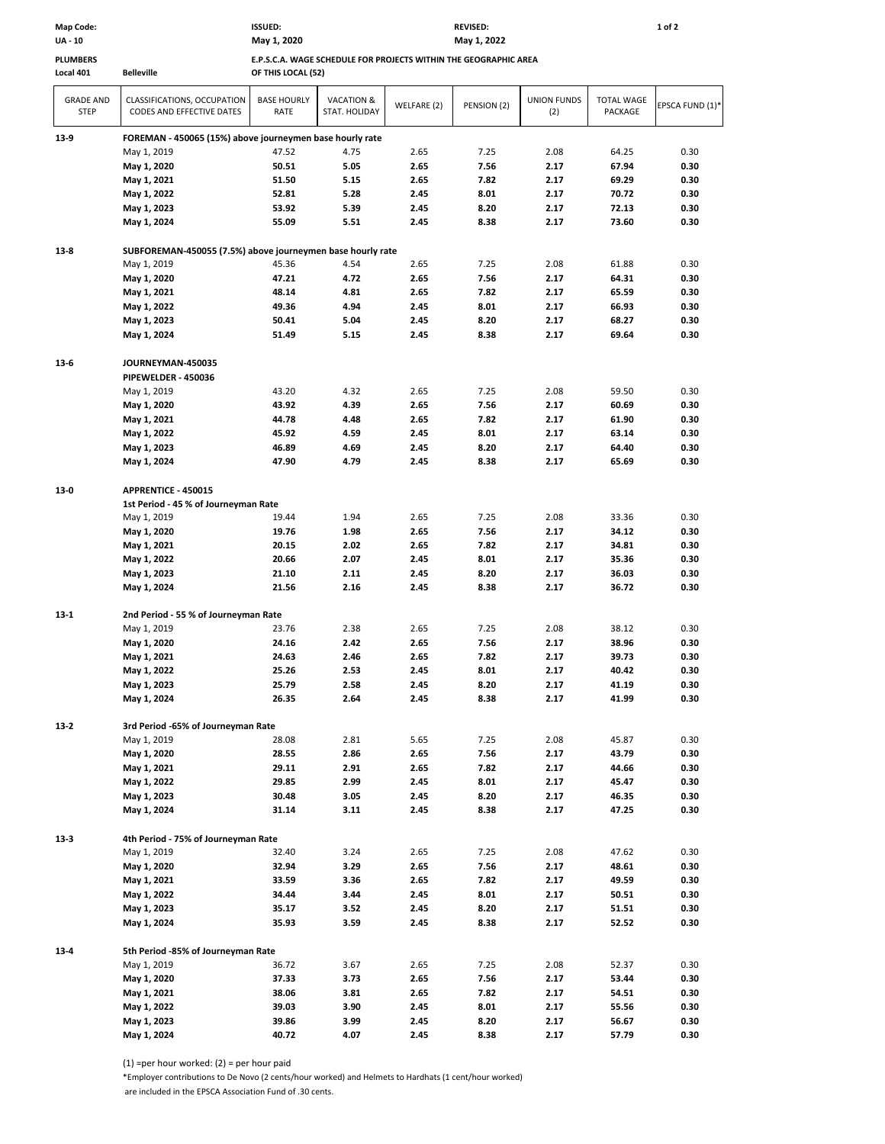| <b>UA - 10</b>                  |                                                                 | May 1, 2020<br>May 1, 2022                                       |                             |             |             |                           |                              |                 |  |  |  |  |  |
|---------------------------------|-----------------------------------------------------------------|------------------------------------------------------------------|-----------------------------|-------------|-------------|---------------------------|------------------------------|-----------------|--|--|--|--|--|
| <b>PLUMBERS</b>                 |                                                                 | E.P.S.C.A. WAGE SCHEDULE FOR PROJECTS WITHIN THE GEOGRAPHIC AREA |                             |             |             |                           |                              |                 |  |  |  |  |  |
| Local 401                       | <b>Belleville</b>                                               | OF THIS LOCAL (52)                                               |                             |             |             |                           |                              |                 |  |  |  |  |  |
| <b>GRADE AND</b><br><b>STEP</b> | CLASSIFICATIONS, OCCUPATION<br><b>CODES AND EFFECTIVE DATES</b> | <b>BASE HOURLY</b><br>RATE                                       | VACATION &<br>STAT. HOLIDAY | WELFARE (2) | PENSION (2) | <b>UNION FUNDS</b><br>(2) | <b>TOTAL WAGE</b><br>PACKAGE | EPSCA FUND (1)* |  |  |  |  |  |
| $13-9$                          | FOREMAN - 450065 (15%) above journeymen base hourly rate        |                                                                  |                             |             |             |                           |                              |                 |  |  |  |  |  |
|                                 | May 1, 2019                                                     | 47.52                                                            | 4.75                        | 2.65        | 7.25        | 2.08                      | 64.25                        | 0.30            |  |  |  |  |  |
|                                 | May 1, 2020                                                     | 50.51                                                            | 5.05                        | 2.65        | 7.56        | 2.17                      | 67.94                        | 0.30            |  |  |  |  |  |
|                                 | May 1, 2021                                                     | 51.50                                                            | 5.15                        | 2.65        | 7.82        | 2.17                      | 69.29                        | 0.30            |  |  |  |  |  |
|                                 | May 1, 2022                                                     | 52.81                                                            | 5.28                        | 2.45        | 8.01        | 2.17                      | 70.72                        | 0.30            |  |  |  |  |  |
|                                 | May 1, 2023                                                     | 53.92                                                            | 5.39                        | 2.45        | 8.20        | 2.17                      | 72.13                        | 0.30            |  |  |  |  |  |
|                                 | May 1, 2024                                                     | 55.09                                                            | 5.51                        | 2.45        | 8.38        | 2.17                      | 73.60                        | 0.30            |  |  |  |  |  |
| $13-8$                          | SUBFOREMAN-450055 (7.5%) above journeymen base hourly rate      |                                                                  |                             |             |             |                           |                              |                 |  |  |  |  |  |
|                                 | May 1, 2019                                                     | 45.36                                                            | 4.54                        | 2.65        | 7.25        | 2.08                      | 61.88                        | 0.30            |  |  |  |  |  |
|                                 | May 1, 2020                                                     | 47.21                                                            | 4.72                        | 2.65        | 7.56        | 2.17                      | 64.31                        | 0.30            |  |  |  |  |  |
|                                 | May 1, 2021                                                     | 48.14                                                            | 4.81                        | 2.65        | 7.82        | 2.17                      | 65.59                        | 0.30            |  |  |  |  |  |
|                                 | May 1, 2022                                                     | 49.36                                                            | 4.94                        | 2.45        | 8.01        | 2.17                      | 66.93                        | 0.30            |  |  |  |  |  |
|                                 | May 1, 2023                                                     | 50.41                                                            | 5.04                        | 2.45        | 8.20        | 2.17                      | 68.27                        | 0.30            |  |  |  |  |  |
|                                 | May 1, 2024                                                     | 51.49                                                            | 5.15                        | 2.45        | 8.38        | 2.17                      | 69.64                        | 0.30            |  |  |  |  |  |
| $13-6$                          | JOURNEYMAN-450035                                               |                                                                  |                             |             |             |                           |                              |                 |  |  |  |  |  |
|                                 | PIPEWELDER - 450036                                             |                                                                  |                             |             |             |                           |                              |                 |  |  |  |  |  |
|                                 | May 1, 2019                                                     | 43.20                                                            | 4.32                        | 2.65        | 7.25        | 2.08                      | 59.50                        | 0.30            |  |  |  |  |  |
|                                 | May 1, 2020                                                     | 43.92                                                            | 4.39                        | 2.65        | 7.56        | 2.17                      | 60.69                        | 0.30            |  |  |  |  |  |
|                                 | May 1, 2021                                                     | 44.78                                                            | 4.48                        | 2.65        | 7.82        | 2.17                      | 61.90                        | 0.30            |  |  |  |  |  |
|                                 | May 1, 2022                                                     | 45.92                                                            | 4.59                        | 2.45        | 8.01        | 2.17                      | 63.14                        | 0.30            |  |  |  |  |  |
|                                 | May 1, 2023                                                     | 46.89                                                            | 4.69                        | 2.45        | 8.20        | 2.17                      | 64.40                        | 0.30            |  |  |  |  |  |
|                                 | May 1, 2024                                                     | 47.90                                                            | 4.79                        | 2.45        | 8.38        | 2.17                      | 65.69                        | 0.30            |  |  |  |  |  |
| $13-0$                          | APPRENTICE - 450015                                             |                                                                  |                             |             |             |                           |                              |                 |  |  |  |  |  |
|                                 | 1st Period - 45 % of Journeyman Rate                            |                                                                  |                             |             |             |                           |                              |                 |  |  |  |  |  |
|                                 | May 1, 2019                                                     | 19.44                                                            | 1.94                        | 2.65        | 7.25        | 2.08                      | 33.36                        | 0.30            |  |  |  |  |  |
|                                 | May 1, 2020                                                     | 19.76                                                            | 1.98                        | 2.65        | 7.56        | 2.17                      | 34.12                        | 0.30            |  |  |  |  |  |
|                                 | May 1, 2021                                                     | 20.15                                                            | 2.02                        | 2.65        | 7.82        | 2.17                      | 34.81                        | 0.30            |  |  |  |  |  |
|                                 | May 1, 2022                                                     | 20.66                                                            | 2.07                        | 2.45        | 8.01        | 2.17                      | 35.36                        | 0.30            |  |  |  |  |  |
|                                 | May 1, 2023                                                     | 21.10                                                            | 2.11                        | 2.45        | 8.20        | 2.17                      | 36.03                        | 0.30            |  |  |  |  |  |
|                                 | May 1, 2024                                                     | 21.56                                                            | 2.16                        | 2.45        | 8.38        | 2.17                      | 36.72                        | 0.30            |  |  |  |  |  |
| $13-1$                          | 2nd Period - 55 % of Journeyman Rate                            |                                                                  |                             |             |             |                           |                              |                 |  |  |  |  |  |
|                                 | May 1, 2019                                                     | 23.76                                                            | 2.38                        | 2.65        | 7.25        | 2.08                      | 38.12                        | 0.30            |  |  |  |  |  |
|                                 | May 1, 2020                                                     | 24.16                                                            | 2.42                        | 2.65        | 7.56        | 2.17                      | 38.96                        | 0.30            |  |  |  |  |  |
|                                 | May 1, 2021                                                     | 24.63                                                            | 2.46                        | 2.65        | 7.82        | 2.17                      | 39.73                        | 0.30            |  |  |  |  |  |
|                                 | May 1, 2022                                                     | 25.26                                                            | 2.53                        | 2.45        | 8.01        | 2.17                      | 40.42                        | 0.30            |  |  |  |  |  |
|                                 | May 1, 2023                                                     | 25.79                                                            | 2.58                        | 2.45        | 8.20        | 2.17                      | 41.19                        | 0.30            |  |  |  |  |  |
|                                 | May 1, 2024                                                     | 26.35                                                            | 2.64                        | 2.45        | 8.38        | 2.17                      | 41.99                        | 0.30            |  |  |  |  |  |
| $13-2$                          | 3rd Period -65% of Journeyman Rate                              |                                                                  |                             |             |             |                           |                              |                 |  |  |  |  |  |
|                                 | May 1, 2019                                                     | 28.08                                                            | 2.81                        | 5.65        | 7.25        | 2.08                      | 45.87                        | 0.30            |  |  |  |  |  |
|                                 | May 1, 2020                                                     | 28.55                                                            | 2.86                        | 2.65        | 7.56        | 2.17                      | 43.79                        | 0.30            |  |  |  |  |  |
|                                 | May 1, 2021                                                     | 29.11                                                            | 2.91                        | 2.65        | 7.82        | 2.17                      | 44.66                        | 0.30            |  |  |  |  |  |
|                                 | May 1, 2022                                                     | 29.85                                                            | 2.99                        | 2.45        | 8.01        | 2.17                      | 45.47                        | 0.30            |  |  |  |  |  |
|                                 | May 1, 2023                                                     | 30.48                                                            | 3.05                        | 2.45        | 8.20        | 2.17                      | 46.35                        | 0.30            |  |  |  |  |  |
|                                 | May 1, 2024                                                     | 31.14                                                            | 3.11                        | 2.45        | 8.38        | 2.17                      | 47.25                        | 0.30            |  |  |  |  |  |
| $13-3$                          | 4th Period - 75% of Journeyman Rate                             |                                                                  |                             |             |             |                           |                              |                 |  |  |  |  |  |
|                                 | May 1, 2019                                                     | 32.40                                                            | 3.24                        | 2.65        | 7.25        | 2.08                      | 47.62                        | 0.30            |  |  |  |  |  |
|                                 | May 1, 2020                                                     | 32.94                                                            | 3.29                        | 2.65        | 7.56        | 2.17                      | 48.61                        | 0.30            |  |  |  |  |  |
|                                 | May 1, 2021                                                     | 33.59                                                            | 3.36                        | 2.65        | 7.82        | 2.17                      | 49.59                        | 0.30            |  |  |  |  |  |
|                                 | May 1, 2022                                                     | 34.44                                                            | 3.44                        | 2.45        | 8.01        | 2.17                      | 50.51                        | 0.30            |  |  |  |  |  |
|                                 | May 1, 2023                                                     | 35.17                                                            | 3.52                        | 2.45        | 8.20        | 2.17                      | 51.51                        | 0.30            |  |  |  |  |  |
|                                 | May 1, 2024                                                     | 35.93                                                            | 3.59                        | 2.45        | 8.38        | 2.17                      | 52.52                        | 0.30            |  |  |  |  |  |
|                                 | 5th Period -85% of Journeyman Rate                              |                                                                  |                             |             |             |                           |                              |                 |  |  |  |  |  |
| $13 - 4$                        | May 1, 2019                                                     | 36.72                                                            | 3.67                        | 2.65        | 7.25        | 2.08                      | 52.37                        | 0.30            |  |  |  |  |  |
|                                 | May 1, 2020                                                     | 37.33                                                            | 3.73                        | 2.65        | 7.56        | 2.17                      | 53.44                        | 0.30            |  |  |  |  |  |
|                                 | May 1, 2021                                                     | 38.06                                                            | 3.81                        | 2.65        | 7.82        | 2.17                      | 54.51                        | 0.30            |  |  |  |  |  |
|                                 | May 1, 2022                                                     | 39.03                                                            | 3.90                        | 2.45        | 8.01        | 2.17                      | 55.56                        | 0.30            |  |  |  |  |  |
|                                 | May 1, 2023                                                     | 39.86                                                            | 3.99                        | 2.45        | 8.20        | 2.17                      | 56.67                        | 0.30            |  |  |  |  |  |
|                                 | May 1, 2024                                                     | 40.72                                                            | 4.07                        | 2.45        | 8.38        | 2.17                      | 57.79                        | 0.30            |  |  |  |  |  |
|                                 |                                                                 |                                                                  |                             |             |             |                           |                              |                 |  |  |  |  |  |

**Map Code: ISSUED: REVISED: 1 of 2**

(1) =per hour worked: (2) = per hour paid

\*Employer contributions to De Novo (2 cents/hour worked) and Helmets to Hardhats (1 cent/hour worked)

are included in the EPSCA Association Fund of .30 cents.